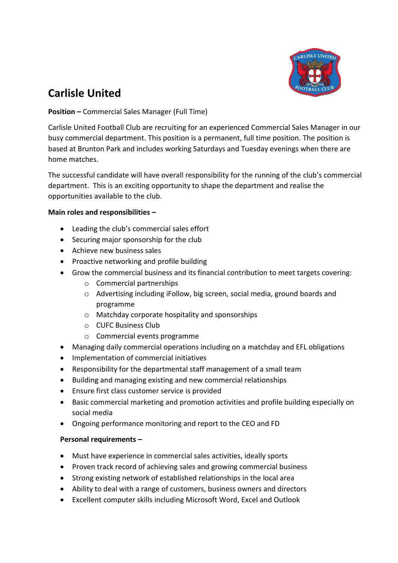

# **Carlisle United**

## **Position –** Commercial Sales Manager (Full Time)

Carlisle United Football Club are recruiting for an experienced Commercial Sales Manager in our busy commercial department. This position is a permanent, full time position. The position is based at Brunton Park and includes working Saturdays and Tuesday evenings when there are home matches.

The successful candidate will have overall responsibility for the running of the club's commercial department. This is an exciting opportunity to shape the department and realise the opportunities available to the club.

### **Main roles and responsibilities –**

- Leading the club's commercial sales effort
- Securing major sponsorship for the club
- Achieve new business sales
- Proactive networking and profile building
- Grow the commercial business and its financial contribution to meet targets covering:
	- o Commercial partnerships
	- o Advertising including iFollow, big screen, social media, ground boards and programme
	- o Matchday corporate hospitality and sponsorships
	- o CUFC Business Club
	- o Commercial events programme
- Managing daily commercial operations including on a matchday and EFL obligations
- Implementation of commercial initiatives
- Responsibility for the departmental staff management of a small team
- Building and managing existing and new commercial relationships
- Ensure first class customer service is provided
- Basic commercial marketing and promotion activities and profile building especially on social media
- Ongoing performance monitoring and report to the CEO and FD

### **Personal requirements –**

- Must have experience in commercial sales activities, ideally sports
- Proven track record of achieving sales and growing commercial business
- Strong existing network of established relationships in the local area
- Ability to deal with a range of customers, business owners and directors
- Excellent computer skills including Microsoft Word, Excel and Outlook